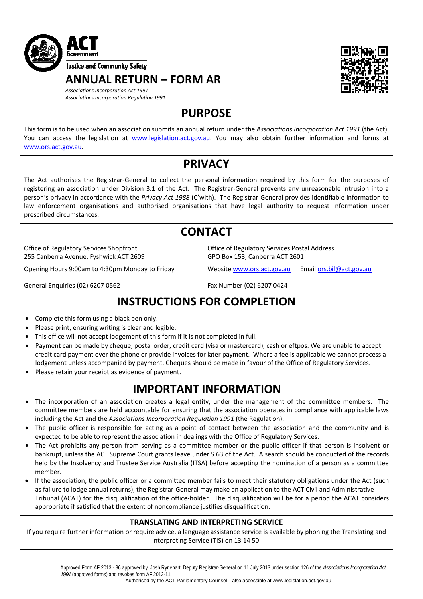

**ANNUAL RETURN – FORM AR**



*Associations Incorporation Act 1991 Associations Incorporation Regulation 1991*

**PURPOSE**

This form is to be used when an association submits an annual return under the *Associations Incorporation Act 1991* (the Act). You can access the legislation at [www.legislation.act.gov.au.](http://www.legislation.act.gov.au/) You may also obtain further information and forms at [www.ors.act.gov.au.](http://www.ors.act.gov.au/)

## **PRIVACY**

The Act authorises the Registrar‐General to collect the personal information required by this form for the purposes of registering an association under Division 3.1 of the Act. The Registrar-General prevents any unreasonable intrusion into a person's privacy in accordance with the *Privacy Act 1988* (C'wlth). The Registrar‐General provides identifiable information to law enforcement organisations and authorised organisations that have legal authority to request information under prescribed circumstances.

## **CONTACT**

Office of Regulatory Services Shopfront 255 Canberra Avenue, Fyshwick ACT 2609

Opening Hours 9:00am to 4:30pm Monday to Friday Website [www.ors.act.gov.au](http://www.ors.act.gov.au/) Email [ors.bil@act.gov.au](mailto:ors.bil@act.gov.au)

Office of Regulatory Services Postal Address GPO Box 158, Canberra ACT 2601

General Enquiries (02) 6207 0562 Fax Number (02) 6207 0424

# **INSTRUCTIONS FOR COMPLETION**

- Complete this form using a black pen only.
- Please print; ensuring writing is clear and legible.
- This office will not accept lodgement of this form if it is not completed in full.
- Payment can be made by cheque, postal order, credit card (visa or mastercard), cash or eftpos. We are unable to accept credit card payment over the phone or provide invoices for later payment. Where a fee is applicable we cannot process a lodgement unless accompanied by payment. Cheques should be made in favour of the Office of Regulatory Services.
- Please retain your receipt as evidence of payment.

## **IMPORTANT INFORMATION**

- The incorporation of an association creates a legal entity, under the management of the committee members. The committee members are held accountable for ensuring that the association operates in compliance with applicable laws including the Act and the *Associations Incorporation Regulation 1991* (the Regulation).
- The public officer is responsible for acting as a point of contact between the association and the community and is expected to be able to represent the association in dealings with the Office of Regulatory Services.
- The Act prohibits any person from serving as a committee member or the public officer if that person is insolvent or bankrupt, unless the ACT Supreme Court grants leave under S 63 of the Act. A search should be conducted of the records held by the Insolvency and Trustee Service Australia (ITSA) before accepting the nomination of a person as a committee member.
- If the association, the public officer or a committee member fails to meet their statutory obligations under the Act (such as failure to lodge annual returns), the Registrar‐General may make an application to the ACT Civil and Administrative Tribunal (ACAT) for the disqualification of the office‐holder. The disqualification will be for a period the ACAT considers appropriate if satisfied that the extent of noncompliance justifies disqualification.

### **TRANSLATING AND INTERPRETING SERVICE**

If you require further information or require advice, a language assistance service is available by phoning the Translating and Interpreting Service (TIS) on 13 14 50.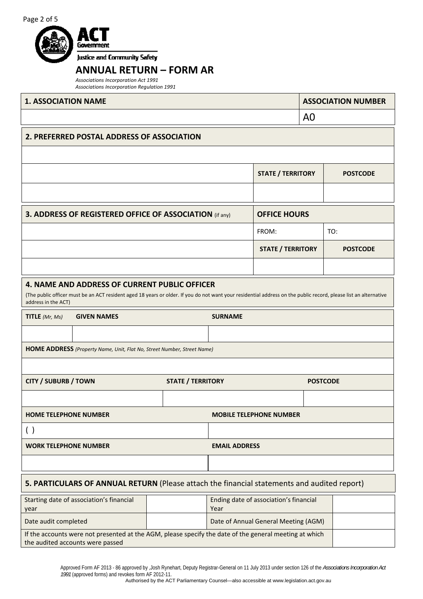

### **ANNUAL RETURN – FORM AR**

*Associations Incorporation Act 1991 Associations Incorporation Regulation 1991*

| <b>1. ASSOCIATION NAME</b>                                                                                                                                                                                                               |  |                          |                |                                        |                 | <b>ASSOCIATION NUMBER</b> |
|------------------------------------------------------------------------------------------------------------------------------------------------------------------------------------------------------------------------------------------|--|--------------------------|----------------|----------------------------------------|-----------------|---------------------------|
|                                                                                                                                                                                                                                          |  |                          |                |                                        | A0              |                           |
| 2. PREFERRED POSTAL ADDRESS OF ASSOCIATION                                                                                                                                                                                               |  |                          |                |                                        |                 |                           |
|                                                                                                                                                                                                                                          |  |                          |                |                                        |                 |                           |
|                                                                                                                                                                                                                                          |  |                          |                | <b>STATE / TERRITORY</b>               |                 | <b>POSTCODE</b>           |
|                                                                                                                                                                                                                                          |  |                          |                |                                        |                 |                           |
| 3. ADDRESS OF REGISTERED OFFICE OF ASSOCIATION (if any)                                                                                                                                                                                  |  |                          |                | <b>OFFICE HOURS</b>                    |                 |                           |
|                                                                                                                                                                                                                                          |  |                          |                | FROM:                                  |                 | TO:                       |
|                                                                                                                                                                                                                                          |  |                          |                | <b>STATE / TERRITORY</b>               |                 | <b>POSTCODE</b>           |
|                                                                                                                                                                                                                                          |  |                          |                |                                        |                 |                           |
| 4. NAME AND ADDRESS OF CURRENT PUBLIC OFFICER<br>(The public officer must be an ACT resident aged 18 years or older. If you do not want your residential address on the public record, please list an alternative<br>address in the ACT) |  |                          |                |                                        |                 |                           |
| TITLE (Mr, Ms)<br><b>GIVEN NAMES</b>                                                                                                                                                                                                     |  |                          | <b>SURNAME</b> |                                        |                 |                           |
|                                                                                                                                                                                                                                          |  |                          |                |                                        |                 |                           |
| HOME ADDRESS (Property Name, Unit, Flat No, Street Number, Street Name)                                                                                                                                                                  |  |                          |                |                                        |                 |                           |
|                                                                                                                                                                                                                                          |  |                          |                |                                        |                 |                           |
| <b>CITY / SUBURB / TOWN</b>                                                                                                                                                                                                              |  | <b>STATE / TERRITORY</b> |                |                                        | <b>POSTCODE</b> |                           |
|                                                                                                                                                                                                                                          |  |                          |                |                                        |                 |                           |
| <b>HOME TELEPHONE NUMBER</b>                                                                                                                                                                                                             |  |                          |                | <b>MOBILE TELEPHONE NUMBER</b>         |                 |                           |
| ( )                                                                                                                                                                                                                                      |  |                          |                |                                        |                 |                           |
| <b>WORK TELEPHONE NUMBER</b><br><b>EMAIL ADDRESS</b>                                                                                                                                                                                     |  |                          |                |                                        |                 |                           |
|                                                                                                                                                                                                                                          |  |                          |                |                                        |                 |                           |
| 5. PARTICULARS OF ANNUAL RETURN (Please attach the financial statements and audited report)                                                                                                                                              |  |                          |                |                                        |                 |                           |
| Starting date of association's financial<br>year                                                                                                                                                                                         |  |                          | Year           | Ending date of association's financial |                 |                           |
| Date audit completed                                                                                                                                                                                                                     |  |                          |                | Date of Annual General Meeting (AGM)   |                 |                           |
| If the accounts were not presented at the AGM, please specify the date of the general meeting at which                                                                                                                                   |  |                          |                |                                        |                 |                           |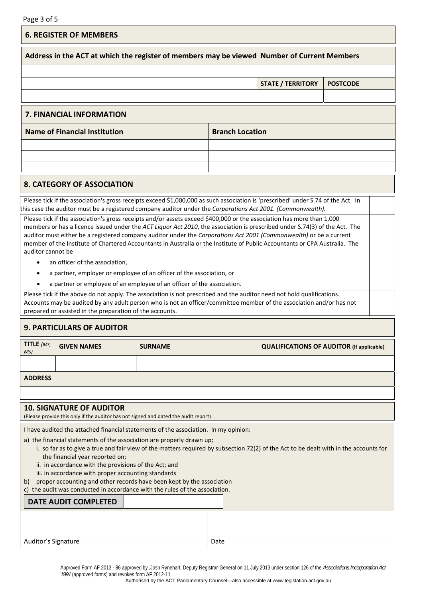|                                                                                                                                                                                                                | Page 3 of 5                                                                                                                                                                                                                                                                                                                                                                                                                                                                                             |  |                        |                          |                 |
|----------------------------------------------------------------------------------------------------------------------------------------------------------------------------------------------------------------|---------------------------------------------------------------------------------------------------------------------------------------------------------------------------------------------------------------------------------------------------------------------------------------------------------------------------------------------------------------------------------------------------------------------------------------------------------------------------------------------------------|--|------------------------|--------------------------|-----------------|
|                                                                                                                                                                                                                | <b>6. REGISTER OF MEMBERS</b>                                                                                                                                                                                                                                                                                                                                                                                                                                                                           |  |                        |                          |                 |
|                                                                                                                                                                                                                | Address in the ACT at which the register of members may be viewed Number of Current Members                                                                                                                                                                                                                                                                                                                                                                                                             |  |                        |                          |                 |
|                                                                                                                                                                                                                |                                                                                                                                                                                                                                                                                                                                                                                                                                                                                                         |  |                        |                          |                 |
|                                                                                                                                                                                                                |                                                                                                                                                                                                                                                                                                                                                                                                                                                                                                         |  |                        | <b>STATE / TERRITORY</b> | <b>POSTCODE</b> |
|                                                                                                                                                                                                                |                                                                                                                                                                                                                                                                                                                                                                                                                                                                                                         |  |                        |                          |                 |
|                                                                                                                                                                                                                | <b>7. FINANCIAL INFORMATION</b>                                                                                                                                                                                                                                                                                                                                                                                                                                                                         |  |                        |                          |                 |
|                                                                                                                                                                                                                | <b>Name of Financial Institution</b>                                                                                                                                                                                                                                                                                                                                                                                                                                                                    |  | <b>Branch Location</b> |                          |                 |
|                                                                                                                                                                                                                |                                                                                                                                                                                                                                                                                                                                                                                                                                                                                                         |  |                        |                          |                 |
|                                                                                                                                                                                                                |                                                                                                                                                                                                                                                                                                                                                                                                                                                                                                         |  |                        |                          |                 |
|                                                                                                                                                                                                                |                                                                                                                                                                                                                                                                                                                                                                                                                                                                                                         |  |                        |                          |                 |
|                                                                                                                                                                                                                | <b>8. CATEGORY OF ASSOCIATION</b>                                                                                                                                                                                                                                                                                                                                                                                                                                                                       |  |                        |                          |                 |
|                                                                                                                                                                                                                | Please tick if the association's gross receipts exceed \$1,000,000 as such association is 'prescribed' under S.74 of the Act. In<br>this case the auditor must be a registered company auditor under the Corporations Act 2001. (Commonwealth).                                                                                                                                                                                                                                                         |  |                        |                          |                 |
|                                                                                                                                                                                                                | Please tick if the association's gross receipts and/or assets exceed \$400,000 or the association has more than 1,000<br>members or has a licence issued under the ACT Liquor Act 2010, the association is prescribed under S.74(3) of the Act. The<br>auditor must either be a registered company auditor under the Corporations Act 2001 (Commonwealth) or be a current<br>member of the Institute of Chartered Accountants in Australia or the Institute of Public Accountants or CPA Australia. The |  |                        |                          |                 |
| auditor cannot be                                                                                                                                                                                              |                                                                                                                                                                                                                                                                                                                                                                                                                                                                                                         |  |                        |                          |                 |
| ٠                                                                                                                                                                                                              | an officer of the association,                                                                                                                                                                                                                                                                                                                                                                                                                                                                          |  |                        |                          |                 |
| $\bullet$                                                                                                                                                                                                      | a partner, employer or employee of an officer of the association, or                                                                                                                                                                                                                                                                                                                                                                                                                                    |  |                        |                          |                 |
| a partner or employee of an employee of an officer of the association.                                                                                                                                         |                                                                                                                                                                                                                                                                                                                                                                                                                                                                                                         |  |                        |                          |                 |
|                                                                                                                                                                                                                | Please tick if the above do not apply. The association is not prescribed and the auditor need not hold qualifications.<br>Accounts may be audited by any adult person who is not an officer/committee member of the association and/or has not<br>prepared or assisted in the preparation of the accounts.                                                                                                                                                                                              |  |                        |                          |                 |
|                                                                                                                                                                                                                | <b>9. PARTICULARS OF AUDITOR</b>                                                                                                                                                                                                                                                                                                                                                                                                                                                                        |  |                        |                          |                 |
| TITLE $(Mr)$<br>Ms)                                                                                                                                                                                            | <b>GIVEN NAMES</b><br><b>SURNAME</b><br><b>QUALIFICATIONS OF AUDITOR (If applicable)</b>                                                                                                                                                                                                                                                                                                                                                                                                                |  |                        |                          |                 |
|                                                                                                                                                                                                                |                                                                                                                                                                                                                                                                                                                                                                                                                                                                                                         |  |                        |                          |                 |
| <b>ADDRESS</b>                                                                                                                                                                                                 |                                                                                                                                                                                                                                                                                                                                                                                                                                                                                                         |  |                        |                          |                 |
|                                                                                                                                                                                                                |                                                                                                                                                                                                                                                                                                                                                                                                                                                                                                         |  |                        |                          |                 |
|                                                                                                                                                                                                                | <b>10. SIGNATURE OF AUDITOR</b>                                                                                                                                                                                                                                                                                                                                                                                                                                                                         |  |                        |                          |                 |
|                                                                                                                                                                                                                | (Please provide this only if the auditor has not signed and dated the audit report)                                                                                                                                                                                                                                                                                                                                                                                                                     |  |                        |                          |                 |
| I have audited the attached financial statements of the association. In my opinion:                                                                                                                            |                                                                                                                                                                                                                                                                                                                                                                                                                                                                                                         |  |                        |                          |                 |
| a) the financial statements of the association are properly drawn up;<br>i. so far as to give a true and fair view of the matters required by subsection 72(2) of the Act to be dealt with in the accounts for |                                                                                                                                                                                                                                                                                                                                                                                                                                                                                                         |  |                        |                          |                 |
| the financial year reported on;                                                                                                                                                                                |                                                                                                                                                                                                                                                                                                                                                                                                                                                                                                         |  |                        |                          |                 |
| ii. in accordance with the provisions of the Act; and<br>iii. in accordance with proper accounting standards                                                                                                   |                                                                                                                                                                                                                                                                                                                                                                                                                                                                                                         |  |                        |                          |                 |
| proper accounting and other records have been kept by the association<br>b)                                                                                                                                    |                                                                                                                                                                                                                                                                                                                                                                                                                                                                                                         |  |                        |                          |                 |
| c) the audit was conducted in accordance with the rules of the association.                                                                                                                                    |                                                                                                                                                                                                                                                                                                                                                                                                                                                                                                         |  |                        |                          |                 |
|                                                                                                                                                                                                                | <b>DATE AUDIT COMPLETED</b>                                                                                                                                                                                                                                                                                                                                                                                                                                                                             |  |                        |                          |                 |
|                                                                                                                                                                                                                |                                                                                                                                                                                                                                                                                                                                                                                                                                                                                                         |  |                        |                          |                 |
|                                                                                                                                                                                                                | Auditor's Signature<br>Date                                                                                                                                                                                                                                                                                                                                                                                                                                                                             |  |                        |                          |                 |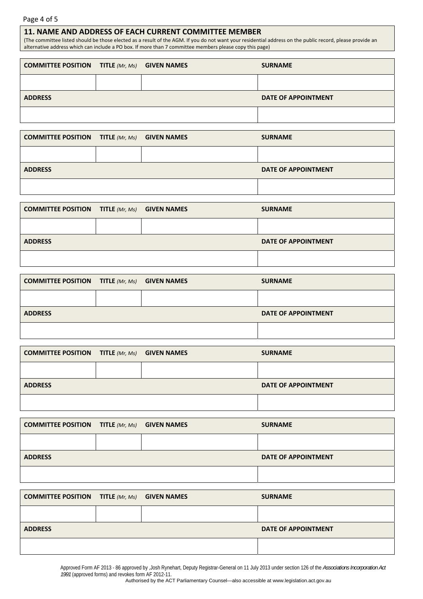### Page 4 of 5

#### **11. NAME AND ADDRESS OF EACH CURRENT COMMITTEE MEMBER**

(The committee listed should be those elected as a result of the AGM. If you do not want your residential address on the public record, please provide an alternative address which can include a PO box. If more than 7 committee members please copy this page)

| <b>COMMITTEE POSITION TITLE (Mr, Ms) GIVEN NAMES</b> |  | <b>SURNAME</b>             |
|------------------------------------------------------|--|----------------------------|
|                                                      |  |                            |
| <b>ADDRESS</b>                                       |  | <b>DATE OF APPOINTMENT</b> |
|                                                      |  |                            |

| <b>COMMITTEE POSITION TITLE</b> ( $Mr$ , $Ms$ ) <b>GIVEN NAMES</b> |  | <b>SURNAME</b>             |
|--------------------------------------------------------------------|--|----------------------------|
|                                                                    |  |                            |
| <b>ADDRESS</b>                                                     |  | <b>DATE OF APPOINTMENT</b> |
|                                                                    |  |                            |

| <b>COMMITTEE POSITION TITLE</b> ( $Mr$ , $Ms$ ) <b>GIVEN NAMES</b> |  | <b>SURNAME</b>      |
|--------------------------------------------------------------------|--|---------------------|
|                                                                    |  |                     |
| <b>ADDRESS</b>                                                     |  | DATE OF APPOINTMENT |
|                                                                    |  |                     |

| <b>COMMITTEE POSITION TITLE (Mr, Ms) GIVEN NAMES</b> |  | <b>SURNAME</b>             |
|------------------------------------------------------|--|----------------------------|
|                                                      |  |                            |
| <b>ADDRESS</b>                                       |  | <b>DATE OF APPOINTMENT</b> |
|                                                      |  |                            |

| <b>COMMITTEE POSITION TITLE (Mr, Ms) GIVEN NAMES</b> |  | <b>SURNAME</b>             |
|------------------------------------------------------|--|----------------------------|
|                                                      |  |                            |
| <b>ADDRESS</b>                                       |  | <b>DATE OF APPOINTMENT</b> |
|                                                      |  |                            |

| <b>COMMITTEE POSITION TITLE</b> ( $Mr$ , $Ms$ ) <b>GIVEN NAMES</b> |  | <b>SURNAME</b>      |
|--------------------------------------------------------------------|--|---------------------|
|                                                                    |  |                     |
| <b>ADDRESS</b>                                                     |  | DATE OF APPOINTMENT |
|                                                                    |  |                     |

| <b>COMMITTEE POSITION TITLE</b> ( $Mr$ , $Ms$ ) <b>GIVEN NAMES</b> |  | <b>SURNAME</b>      |
|--------------------------------------------------------------------|--|---------------------|
|                                                                    |  |                     |
| <b>ADDRESS</b>                                                     |  | DATE OF APPOINTMENT |
|                                                                    |  |                     |